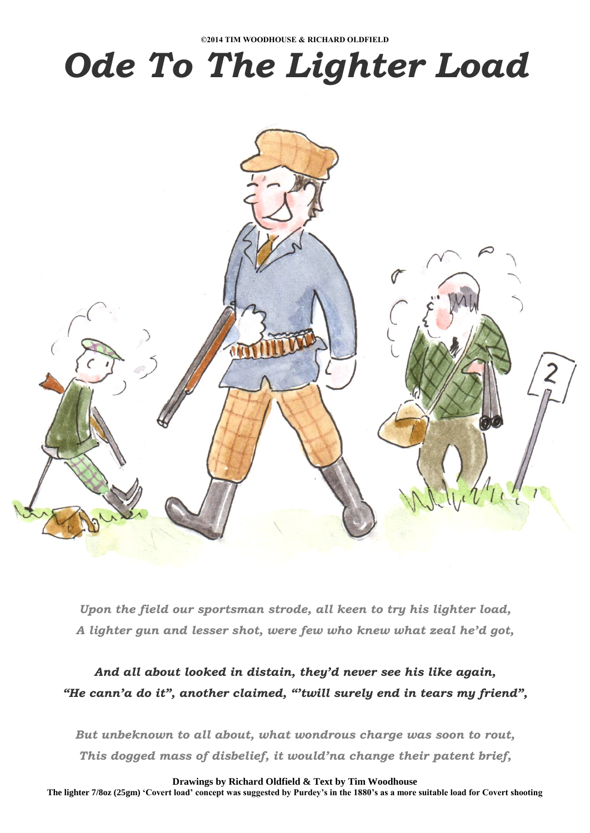# *Ode To The Lighter Load*

**©2014 TIM WOODHOUSE & RICHARD OLDFIELD**



*Upon the field our sportsman strode, all keen to try his lighter load, A lighter gun and lesser shot, were few who knew whatzeal heíd got,*

*And all about looked in distain, theyíd never see his like again, ìHe cannía do itî, another claimed, ìítwill surely end in tears my friendî,*

*But unbeknown to all about, what wondrous charge was soon to rout, This dogged mass of disbelief, it wouldína change their patent brief,*

**Drawings by Richard Oldfield & Text by Tim Woodhouse**

The lighter 7/8oz (25gm) 'Covert load' concept was suggested by Purdey's in the 1880's as a more suitable load for Covert shooting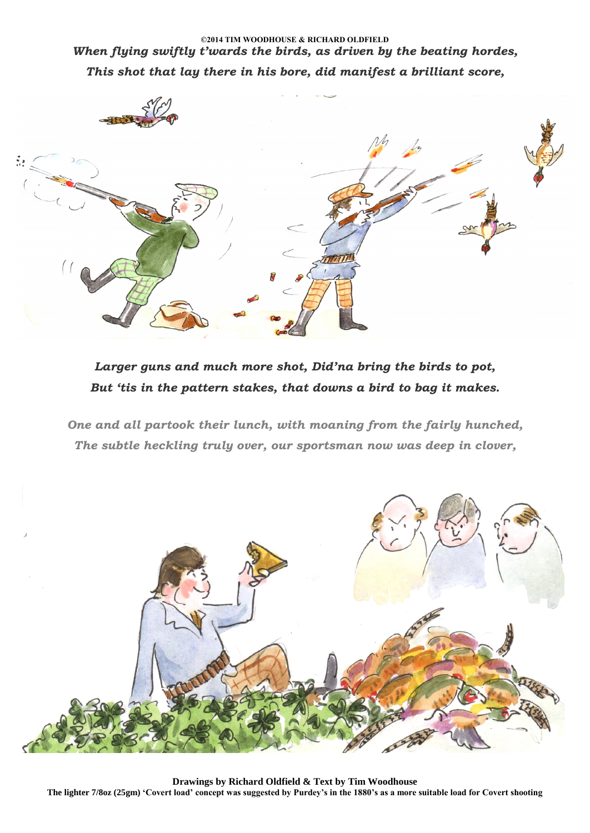#### **©2014 TIM WOODHOUSE & RICHARD OLDFIELD** *When flying swiftly tíwards the birds, as driven by the beating hordes, This shot that lay there in his bore, did manifest a brilliant score,*



### *Larger guns and much more shot, Didína bring the birds to pot, But ëtis in the pattern stakes, that downs a bird to bag it makes.*

*One and all partook their lunch, with moaning from the fairly hunched, The subtle heckling truly over, our sportsman now was deep in clover,*